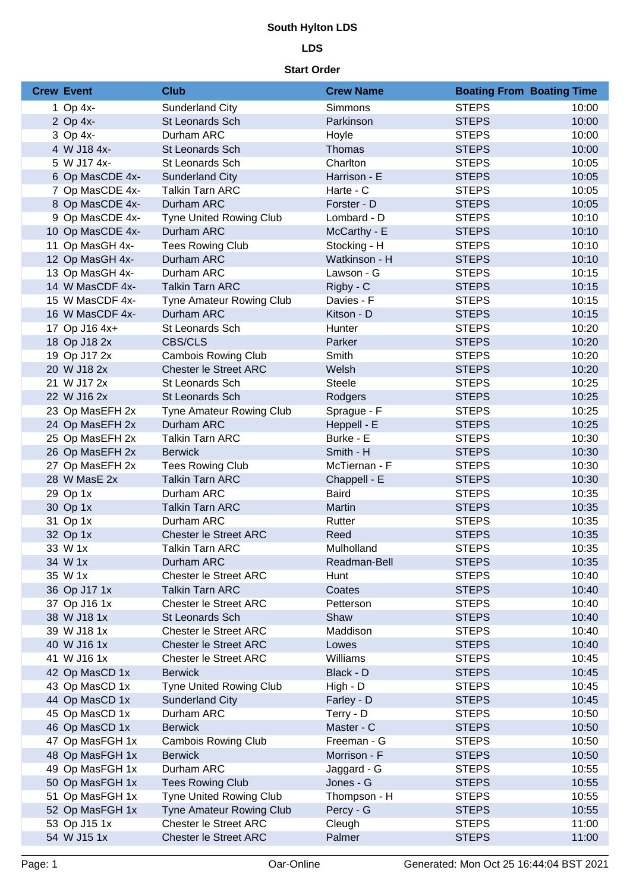# **South Hylton LDS**

## **LDS**

#### **Start Order**

| <b>Crew Event</b> | <b>Club</b>                     | <b>Crew Name</b> | <b>Boating From Boating Time</b> |       |
|-------------------|---------------------------------|------------------|----------------------------------|-------|
| 1 Op 4x-          | Sunderland City                 | Simmons          | <b>STEPS</b>                     | 10:00 |
| 2 Op 4x-          | St Leonards Sch                 | Parkinson        | <b>STEPS</b>                     | 10:00 |
| 3 Op 4x-          | Durham ARC                      | Hoyle            | <b>STEPS</b>                     | 10:00 |
| 4 W J18 4x-       | St Leonards Sch                 | Thomas           | <b>STEPS</b>                     | 10:00 |
| 5 W J17 4x-       | St Leonards Sch                 | Charlton         | <b>STEPS</b>                     | 10:05 |
| 6 Op MasCDE 4x-   | <b>Sunderland City</b>          | Harrison - E     | <b>STEPS</b>                     | 10:05 |
| 7 Op MasCDE 4x-   | <b>Talkin Tarn ARC</b>          | Harte - C        | <b>STEPS</b>                     | 10:05 |
| 8 Op MasCDE 4x-   | Durham ARC                      | Forster - D      | <b>STEPS</b>                     | 10:05 |
| 9 Op MasCDE 4x-   | <b>Tyne United Rowing Club</b>  | Lombard - D      | <b>STEPS</b>                     | 10:10 |
| 10 Op MasCDE 4x-  | Durham ARC                      | McCarthy - E     | <b>STEPS</b>                     | 10:10 |
| 11 Op MasGH 4x-   | <b>Tees Rowing Club</b>         | Stocking - H     | <b>STEPS</b>                     | 10:10 |
| 12 Op MasGH 4x-   | Durham ARC                      | Watkinson - H    | <b>STEPS</b>                     | 10:10 |
| 13 Op MasGH 4x-   | Durham ARC                      | Lawson - G       | <b>STEPS</b>                     | 10:15 |
| 14 W MasCDF 4x-   | <b>Talkin Tarn ARC</b>          | Rigby - C        | <b>STEPS</b>                     | 10:15 |
| 15 W MasCDF 4x-   | <b>Tyne Amateur Rowing Club</b> | Davies - F       | <b>STEPS</b>                     | 10:15 |
| 16 W MasCDF 4x-   | Durham ARC                      | Kitson - D       | <b>STEPS</b>                     | 10:15 |
| 17 Op J16 4x+     | St Leonards Sch                 | Hunter           | <b>STEPS</b>                     | 10:20 |
| 18 Op J18 2x      | <b>CBS/CLS</b>                  | Parker           | <b>STEPS</b>                     | 10:20 |
| 19 Op J17 2x      | <b>Cambois Rowing Club</b>      | Smith            | <b>STEPS</b>                     | 10:20 |
| 20 W J18 2x       | <b>Chester le Street ARC</b>    | Welsh            | <b>STEPS</b>                     | 10:20 |
| 21 W J17 2x       | St Leonards Sch                 | <b>Steele</b>    | <b>STEPS</b>                     | 10:25 |
| 22 W J16 2x       | St Leonards Sch                 | Rodgers          | <b>STEPS</b>                     | 10:25 |
| 23 Op MasEFH 2x   | Tyne Amateur Rowing Club        | Sprague - F      | <b>STEPS</b>                     | 10:25 |
| 24 Op MasEFH 2x   | Durham ARC                      | Heppell - E      | <b>STEPS</b>                     | 10:25 |
| 25 Op MasEFH 2x   | <b>Talkin Tarn ARC</b>          | Burke - E        | <b>STEPS</b>                     | 10:30 |
| 26 Op MasEFH 2x   | <b>Berwick</b>                  | Smith - H        | <b>STEPS</b>                     | 10:30 |
| 27 Op MasEFH 2x   | <b>Tees Rowing Club</b>         | McTiernan - F    | <b>STEPS</b>                     | 10:30 |
| 28 W MasE 2x      | <b>Talkin Tarn ARC</b>          | Chappell - E     | <b>STEPS</b>                     | 10:30 |
| 29 Op 1x          | Durham ARC                      | <b>Baird</b>     | <b>STEPS</b>                     | 10:35 |
| 30 Op 1x          | <b>Talkin Tarn ARC</b>          | Martin           | <b>STEPS</b>                     | 10:35 |
| 31 Op 1x          | Durham ARC                      | Rutter           | <b>STEPS</b>                     | 10:35 |
| 32 Op 1x          | <b>Chester le Street ARC</b>    | Reed             | <b>STEPS</b>                     | 10:35 |
| 33 W 1x           | Talkin Tarn ARC                 | Mulholland       | <b>STEPS</b>                     | 10:35 |
| 34 W 1x           | Durham ARC                      | Readman-Bell     | <b>STEPS</b>                     | 10:35 |
| 35 W 1x           | <b>Chester le Street ARC</b>    | Hunt             | <b>STEPS</b>                     | 10:40 |
| 36 Op J17 1x      | <b>Talkin Tarn ARC</b>          | Coates           | <b>STEPS</b>                     | 10:40 |
| 37 Op J16 1x      | Chester le Street ARC           | Petterson        | <b>STEPS</b>                     | 10:40 |
| 38 W J18 1x       | <b>St Leonards Sch</b>          | Shaw             | <b>STEPS</b>                     | 10:40 |
| 39 W J18 1x       | <b>Chester le Street ARC</b>    | Maddison         | <b>STEPS</b>                     | 10:40 |
| 40 W J16 1x       | <b>Chester le Street ARC</b>    | Lowes            | <b>STEPS</b>                     | 10:40 |
| 41 W J16 1x       | <b>Chester le Street ARC</b>    | Williams         | <b>STEPS</b>                     | 10:45 |
| 42 Op MasCD 1x    | <b>Berwick</b>                  | Black - D        | <b>STEPS</b>                     | 10:45 |
| 43 Op MasCD 1x    | <b>Tyne United Rowing Club</b>  | High - D         | <b>STEPS</b>                     | 10:45 |
| 44 Op MasCD 1x    | Sunderland City                 | Farley - D       | <b>STEPS</b>                     | 10:45 |
| 45 Op MasCD 1x    | Durham ARC                      | Terry - D        | <b>STEPS</b>                     | 10:50 |
| 46 Op MasCD 1x    | <b>Berwick</b>                  | Master - C       | <b>STEPS</b>                     | 10:50 |
| 47 Op MasFGH 1x   | <b>Cambois Rowing Club</b>      | Freeman - G      | <b>STEPS</b>                     | 10:50 |
| 48 Op MasFGH 1x   | <b>Berwick</b>                  | Morrison - F     | <b>STEPS</b>                     | 10:50 |
| 49 Op MasFGH 1x   | Durham ARC                      | Jaggard - G      | <b>STEPS</b>                     | 10:55 |
| 50 Op MasFGH 1x   | <b>Tees Rowing Club</b>         | Jones - G        | <b>STEPS</b>                     | 10:55 |
| 51 Op MasFGH 1x   | <b>Tyne United Rowing Club</b>  | Thompson - H     | <b>STEPS</b>                     | 10:55 |
| 52 Op MasFGH 1x   | Tyne Amateur Rowing Club        | Percy - G        | <b>STEPS</b>                     | 10:55 |
| 53 Op J15 1x      | Chester le Street ARC           | Cleugh           | <b>STEPS</b>                     | 11:00 |
| 54 W J15 1x       | <b>Chester le Street ARC</b>    | Palmer           | <b>STEPS</b>                     | 11:00 |